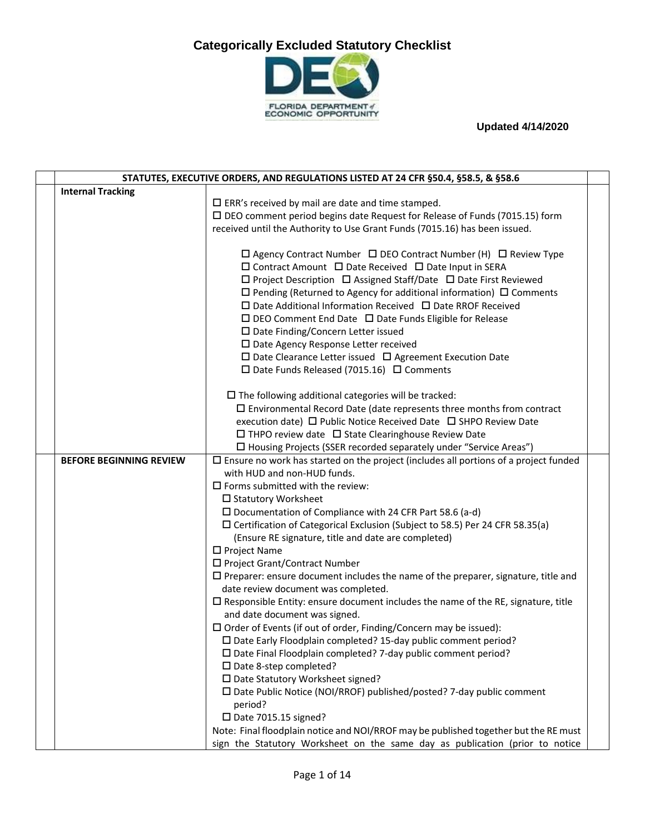

| STATUTES, EXECUTIVE ORDERS, AND REGULATIONS LISTED AT 24 CFR §50.4, §58.5, & §58.6 |                                                                                                                                                                                                                                                                                                                                                                                                                                                                                                                                                                                                                                                                                                                                                                                                       |  |
|------------------------------------------------------------------------------------|-------------------------------------------------------------------------------------------------------------------------------------------------------------------------------------------------------------------------------------------------------------------------------------------------------------------------------------------------------------------------------------------------------------------------------------------------------------------------------------------------------------------------------------------------------------------------------------------------------------------------------------------------------------------------------------------------------------------------------------------------------------------------------------------------------|--|
| <b>Internal Tracking</b>                                                           |                                                                                                                                                                                                                                                                                                                                                                                                                                                                                                                                                                                                                                                                                                                                                                                                       |  |
|                                                                                    | $\square$ ERR's received by mail are date and time stamped.                                                                                                                                                                                                                                                                                                                                                                                                                                                                                                                                                                                                                                                                                                                                           |  |
|                                                                                    | $\square$ DEO comment period begins date Request for Release of Funds (7015.15) form                                                                                                                                                                                                                                                                                                                                                                                                                                                                                                                                                                                                                                                                                                                  |  |
|                                                                                    | received until the Authority to Use Grant Funds (7015.16) has been issued.                                                                                                                                                                                                                                                                                                                                                                                                                                                                                                                                                                                                                                                                                                                            |  |
|                                                                                    | □ Agency Contract Number □ DEO Contract Number (H) □ Review Type<br>$\square$ Contract Amount $\square$ Date Received $\square$ Date Input in SERA<br>$\square$ Project Description $\square$ Assigned Staff/Date $\square$ Date First Reviewed<br>$\Box$ Pending (Returned to Agency for additional information) $\Box$ Comments<br>$\square$ Date Additional Information Received $\square$ Date RROF Received<br>$\Box$ DEO Comment End Date $\Box$ Date Funds Eligible for Release<br>$\square$ Date Finding/Concern Letter issued<br>$\square$ Date Agency Response Letter received<br>$\square$ Date Clearance Letter issued $\square$ Agreement Execution Date<br>$\square$ Date Funds Released (7015.16) $\square$ Comments<br>$\square$ The following additional categories will be tracked: |  |
|                                                                                    | $\Box$ Environmental Record Date (date represents three months from contract                                                                                                                                                                                                                                                                                                                                                                                                                                                                                                                                                                                                                                                                                                                          |  |
|                                                                                    | execution date) □ Public Notice Received Date □ SHPO Review Date                                                                                                                                                                                                                                                                                                                                                                                                                                                                                                                                                                                                                                                                                                                                      |  |
|                                                                                    | $\Box$ THPO review date $\Box$ State Clearinghouse Review Date                                                                                                                                                                                                                                                                                                                                                                                                                                                                                                                                                                                                                                                                                                                                        |  |
|                                                                                    | □ Housing Projects (SSER recorded separately under "Service Areas")                                                                                                                                                                                                                                                                                                                                                                                                                                                                                                                                                                                                                                                                                                                                   |  |
| <b>BEFORE BEGINNING REVIEW</b>                                                     | $\Box$ Ensure no work has started on the project (includes all portions of a project funded                                                                                                                                                                                                                                                                                                                                                                                                                                                                                                                                                                                                                                                                                                           |  |
|                                                                                    | with HUD and non-HUD funds.                                                                                                                                                                                                                                                                                                                                                                                                                                                                                                                                                                                                                                                                                                                                                                           |  |
|                                                                                    | $\square$ Forms submitted with the review:                                                                                                                                                                                                                                                                                                                                                                                                                                                                                                                                                                                                                                                                                                                                                            |  |
|                                                                                    | □ Statutory Worksheet                                                                                                                                                                                                                                                                                                                                                                                                                                                                                                                                                                                                                                                                                                                                                                                 |  |
|                                                                                    | $\square$ Documentation of Compliance with 24 CFR Part 58.6 (a-d)                                                                                                                                                                                                                                                                                                                                                                                                                                                                                                                                                                                                                                                                                                                                     |  |
|                                                                                    | $\Box$ Certification of Categorical Exclusion (Subject to 58.5) Per 24 CFR 58.35(a)<br>(Ensure RE signature, title and date are completed)                                                                                                                                                                                                                                                                                                                                                                                                                                                                                                                                                                                                                                                            |  |
|                                                                                    | □ Project Name                                                                                                                                                                                                                                                                                                                                                                                                                                                                                                                                                                                                                                                                                                                                                                                        |  |
|                                                                                    | □ Project Grant/Contract Number                                                                                                                                                                                                                                                                                                                                                                                                                                                                                                                                                                                                                                                                                                                                                                       |  |
|                                                                                    | $\square$ Preparer: ensure document includes the name of the preparer, signature, title and                                                                                                                                                                                                                                                                                                                                                                                                                                                                                                                                                                                                                                                                                                           |  |
|                                                                                    | date review document was completed.                                                                                                                                                                                                                                                                                                                                                                                                                                                                                                                                                                                                                                                                                                                                                                   |  |
|                                                                                    | $\square$ Responsible Entity: ensure document includes the name of the RE, signature, title                                                                                                                                                                                                                                                                                                                                                                                                                                                                                                                                                                                                                                                                                                           |  |
|                                                                                    | and date document was signed.                                                                                                                                                                                                                                                                                                                                                                                                                                                                                                                                                                                                                                                                                                                                                                         |  |
|                                                                                    | $\Box$ Order of Events (if out of order, Finding/Concern may be issued):<br>□ Date Early Floodplain completed? 15-day public comment period?                                                                                                                                                                                                                                                                                                                                                                                                                                                                                                                                                                                                                                                          |  |
|                                                                                    | $\square$ Date Final Floodplain completed? 7-day public comment period?                                                                                                                                                                                                                                                                                                                                                                                                                                                                                                                                                                                                                                                                                                                               |  |
|                                                                                    | $\square$ Date 8-step completed?                                                                                                                                                                                                                                                                                                                                                                                                                                                                                                                                                                                                                                                                                                                                                                      |  |
|                                                                                    | □ Date Statutory Worksheet signed?                                                                                                                                                                                                                                                                                                                                                                                                                                                                                                                                                                                                                                                                                                                                                                    |  |
|                                                                                    | □ Date Public Notice (NOI/RROF) published/posted? 7-day public comment                                                                                                                                                                                                                                                                                                                                                                                                                                                                                                                                                                                                                                                                                                                                |  |
|                                                                                    | period?                                                                                                                                                                                                                                                                                                                                                                                                                                                                                                                                                                                                                                                                                                                                                                                               |  |
|                                                                                    | $\square$ Date 7015.15 signed?                                                                                                                                                                                                                                                                                                                                                                                                                                                                                                                                                                                                                                                                                                                                                                        |  |
|                                                                                    | Note: Final floodplain notice and NOI/RROF may be published together but the RE must                                                                                                                                                                                                                                                                                                                                                                                                                                                                                                                                                                                                                                                                                                                  |  |
|                                                                                    | sign the Statutory Worksheet on the same day as publication (prior to notice                                                                                                                                                                                                                                                                                                                                                                                                                                                                                                                                                                                                                                                                                                                          |  |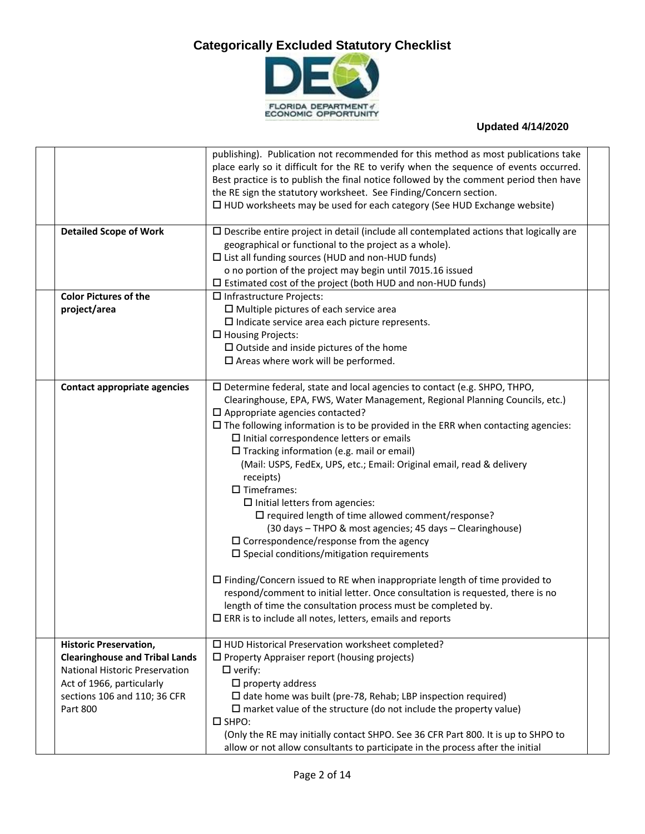

|                                       | publishing). Publication not recommended for this method as most publications take            |  |
|---------------------------------------|-----------------------------------------------------------------------------------------------|--|
|                                       | place early so it difficult for the RE to verify when the sequence of events occurred.        |  |
|                                       | Best practice is to publish the final notice followed by the comment period then have         |  |
|                                       | the RE sign the statutory worksheet. See Finding/Concern section.                             |  |
|                                       | $\Box$ HUD worksheets may be used for each category (See HUD Exchange website)                |  |
| <b>Detailed Scope of Work</b>         | $\Box$ Describe entire project in detail (include all contemplated actions that logically are |  |
|                                       | geographical or functional to the project as a whole).                                        |  |
|                                       | $\Box$ List all funding sources (HUD and non-HUD funds)                                       |  |
|                                       | o no portion of the project may begin until 7015.16 issued                                    |  |
|                                       | $\square$ Estimated cost of the project (both HUD and non-HUD funds)                          |  |
| <b>Color Pictures of the</b>          | $\Box$ Infrastructure Projects:                                                               |  |
| project/area                          | $\square$ Multiple pictures of each service area                                              |  |
|                                       | $\square$ Indicate service area each picture represents.                                      |  |
|                                       | $\Box$ Housing Projects:                                                                      |  |
|                                       | $\square$ Outside and inside pictures of the home                                             |  |
|                                       | $\square$ Areas where work will be performed.                                                 |  |
|                                       |                                                                                               |  |
| <b>Contact appropriate agencies</b>   | $\square$ Determine federal, state and local agencies to contact (e.g. SHPO, THPO,            |  |
|                                       | Clearinghouse, EPA, FWS, Water Management, Regional Planning Councils, etc.)                  |  |
|                                       | $\square$ Appropriate agencies contacted?                                                     |  |
|                                       | $\square$ The following information is to be provided in the ERR when contacting agencies:    |  |
|                                       | $\square$ Initial correspondence letters or emails                                            |  |
|                                       | $\Box$ Tracking information (e.g. mail or email)                                              |  |
|                                       | (Mail: USPS, FedEx, UPS, etc.; Email: Original email, read & delivery                         |  |
|                                       | receipts)                                                                                     |  |
|                                       | $\square$ Timeframes:                                                                         |  |
|                                       | $\square$ Initial letters from agencies:                                                      |  |
|                                       | $\square$ required length of time allowed comment/response?                                   |  |
|                                       | (30 days - THPO & most agencies; 45 days - Clearinghouse)                                     |  |
|                                       | $\square$ Correspondence/response from the agency                                             |  |
|                                       | $\square$ Special conditions/mitigation requirements                                          |  |
|                                       |                                                                                               |  |
|                                       | $\Box$ Finding/Concern issued to RE when inappropriate length of time provided to             |  |
|                                       | respond/comment to initial letter. Once consultation is requested, there is no                |  |
|                                       | length of time the consultation process must be completed by.                                 |  |
|                                       | $\square$ ERR is to include all notes, letters, emails and reports                            |  |
| <b>Historic Preservation,</b>         | □ HUD Historical Preservation worksheet completed?                                            |  |
| <b>Clearinghouse and Tribal Lands</b> | $\square$ Property Appraiser report (housing projects)                                        |  |
| National Historic Preservation        | $\square$ verify:                                                                             |  |
| Act of 1966, particularly             | $\square$ property address                                                                    |  |
| sections 106 and 110; 36 CFR          | $\Box$ date home was built (pre-78, Rehab; LBP inspection required)                           |  |
| Part 800                              | $\square$ market value of the structure (do not include the property value)                   |  |
|                                       | $\square$ SHPO:                                                                               |  |
|                                       | (Only the RE may initially contact SHPO. See 36 CFR Part 800. It is up to SHPO to             |  |
|                                       | allow or not allow consultants to participate in the process after the initial                |  |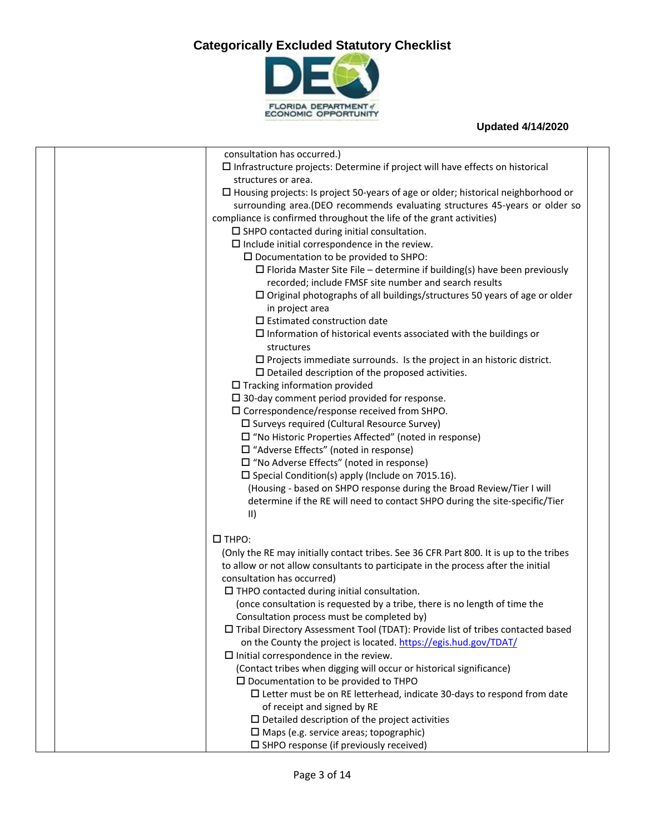

| consultation has occurred.)                                                              |  |
|------------------------------------------------------------------------------------------|--|
| $\square$ Infrastructure projects: Determine if project will have effects on historical  |  |
| structures or area.                                                                      |  |
| $\Box$ Housing projects: Is project 50-years of age or older; historical neighborhood or |  |
| surrounding area.(DEO recommends evaluating structures 45-years or older so              |  |
| compliance is confirmed throughout the life of the grant activities)                     |  |
| $\square$ SHPO contacted during initial consultation.                                    |  |
| $\square$ Include initial correspondence in the review.                                  |  |
| $\square$ Documentation to be provided to SHPO:                                          |  |
| $\Box$ Florida Master Site File – determine if building(s) have been previously          |  |
| recorded; include FMSF site number and search results                                    |  |
| $\square$ Original photographs of all buildings/structures 50 years of age or older      |  |
| in project area                                                                          |  |
| $\square$ Estimated construction date                                                    |  |
| $\square$ Information of historical events associated with the buildings or              |  |
| structures                                                                               |  |
| $\square$ Projects immediate surrounds. Is the project in an historic district.          |  |
| $\square$ Detailed description of the proposed activities.                               |  |
| $\Box$ Tracking information provided                                                     |  |
| $\square$ 30-day comment period provided for response.                                   |  |
| $\square$ Correspondence/response received from SHPO.                                    |  |
| $\square$ Surveys required (Cultural Resource Survey)                                    |  |
| $\Box$ "No Historic Properties Affected" (noted in response)                             |  |
| $\Box$ "Adverse Effects" (noted in response)                                             |  |
| $\Box$ "No Adverse Effects" (noted in response)                                          |  |
| $\square$ Special Condition(s) apply (Include on 7015.16).                               |  |
| (Housing - based on SHPO response during the Broad Review/Tier I will                    |  |
| determine if the RE will need to contact SHPO during the site-specific/Tier              |  |
| $\vert \vert$                                                                            |  |
|                                                                                          |  |
| $\square$ THPO:                                                                          |  |
| (Only the RE may initially contact tribes. See 36 CFR Part 800. It is up to the tribes   |  |
| to allow or not allow consultants to participate in the process after the initial        |  |
| consultation has occurred)                                                               |  |
| $\Box$ THPO contacted during initial consultation.                                       |  |
| (once consultation is requested by a tribe, there is no length of time the               |  |
| Consultation process must be completed by)                                               |  |
| $\Box$ Tribal Directory Assessment Tool (TDAT): Provide list of tribes contacted based   |  |
| on the County the project is located. https://egis.hud.gov/TDAT/                         |  |
| $\Box$ Initial correspondence in the review.                                             |  |
| (Contact tribes when digging will occur or historical significance)                      |  |
| $\square$ Documentation to be provided to THPO                                           |  |
| $\Box$ Letter must be on RE letterhead, indicate 30-days to respond from date            |  |
| of receipt and signed by RE                                                              |  |
| $\square$ Detailed description of the project activities                                 |  |
| $\square$ Maps (e.g. service areas; topographic)                                         |  |
| $\square$ SHPO response (if previously received)                                         |  |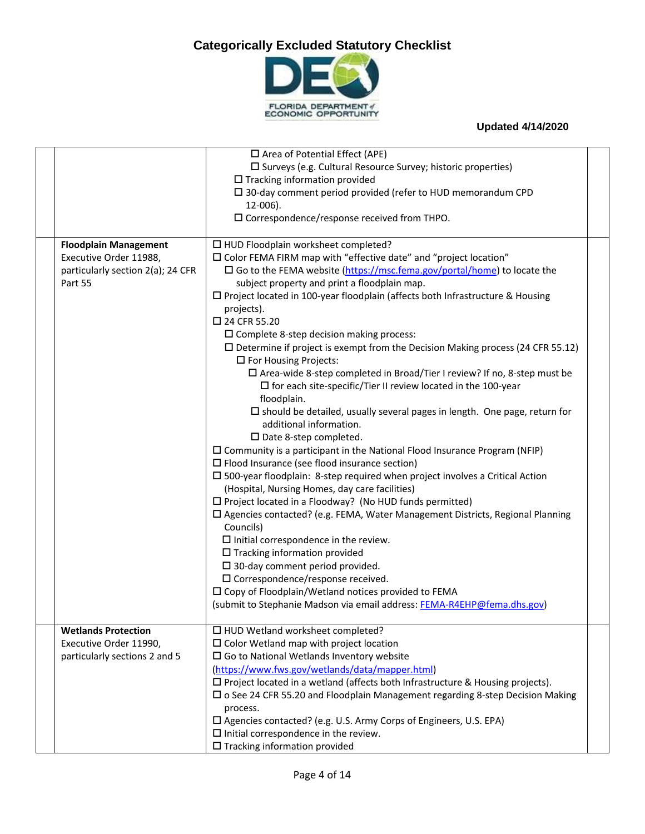

|                                                                                                        | $\Box$ Area of Potential Effect (APE)<br>□ Surveys (e.g. Cultural Resource Survey; historic properties)<br>$\Box$ Tracking information provided<br>$\square$ 30-day comment period provided (refer to HUD memorandum CPD<br>$12-006$ ).<br>□ Correspondence/response received from THPO.                                                                                                                                                                                                                                                                                                                                                                                                                                                                                                                                                                                                                                                                                                                                                                                                                                                                                                                                                                                                                                                                                                                                                                                                                                                                                                                                                                                                       |  |
|--------------------------------------------------------------------------------------------------------|------------------------------------------------------------------------------------------------------------------------------------------------------------------------------------------------------------------------------------------------------------------------------------------------------------------------------------------------------------------------------------------------------------------------------------------------------------------------------------------------------------------------------------------------------------------------------------------------------------------------------------------------------------------------------------------------------------------------------------------------------------------------------------------------------------------------------------------------------------------------------------------------------------------------------------------------------------------------------------------------------------------------------------------------------------------------------------------------------------------------------------------------------------------------------------------------------------------------------------------------------------------------------------------------------------------------------------------------------------------------------------------------------------------------------------------------------------------------------------------------------------------------------------------------------------------------------------------------------------------------------------------------------------------------------------------------|--|
| <b>Floodplain Management</b><br>Executive Order 11988,<br>particularly section 2(a); 24 CFR<br>Part 55 | □ HUD Floodplain worksheet completed?<br>□ Color FEMA FIRM map with "effective date" and "project location"<br>$\square$ Go to the FEMA website (https://msc.fema.gov/portal/home) to locate the<br>subject property and print a floodplain map.<br>□ Project located in 100-year floodplain (affects both Infrastructure & Housing<br>projects).<br>□ 24 CFR 55.20<br>$\square$ Complete 8-step decision making process:<br>$\square$ Determine if project is exempt from the Decision Making process (24 CFR 55.12)<br>$\square$ For Housing Projects:<br>$\Box$ Area-wide 8-step completed in Broad/Tier I review? If no, 8-step must be<br>$\Box$ for each site-specific/Tier II review located in the 100-year<br>floodplain.<br>$\square$ should be detailed, usually several pages in length. One page, return for<br>additional information.<br>□ Date 8-step completed.<br>$\square$ Community is a participant in the National Flood Insurance Program (NFIP)<br>$\square$ Flood Insurance (see flood insurance section)<br>$\square$ 500-year floodplain: 8-step required when project involves a Critical Action<br>(Hospital, Nursing Homes, day care facilities)<br>$\square$ Project located in a Floodway? (No HUD funds permitted)<br>$\square$ Agencies contacted? (e.g. FEMA, Water Management Districts, Regional Planning<br>Councils)<br>$\square$ Initial correspondence in the review.<br>$\Box$ Tracking information provided<br>$\square$ 30-day comment period provided.<br>$\square$ Correspondence/response received.<br>$\square$ Copy of Floodplain/Wetland notices provided to FEMA<br>(submit to Stephanie Madson via email address: FEMA-R4EHP@fema.dhs.gov) |  |
| <b>Wetlands Protection</b><br>Executive Order 11990,<br>particularly sections 2 and 5                  | □ HUD Wetland worksheet completed?<br>$\square$ Color Wetland map with project location<br>$\square$ Go to National Wetlands Inventory website<br>(https://www.fws.gov/wetlands/data/mapper.html)<br>$\square$ Project located in a wetland (affects both Infrastructure & Housing projects).<br>□ o See 24 CFR 55.20 and Floodplain Management regarding 8-step Decision Making<br>process.<br>□ Agencies contacted? (e.g. U.S. Army Corps of Engineers, U.S. EPA)<br>$\square$ Initial correspondence in the review.<br>$\square$ Tracking information provided                                                                                                                                                                                                                                                                                                                                                                                                                                                                                                                                                                                                                                                                                                                                                                                                                                                                                                                                                                                                                                                                                                                              |  |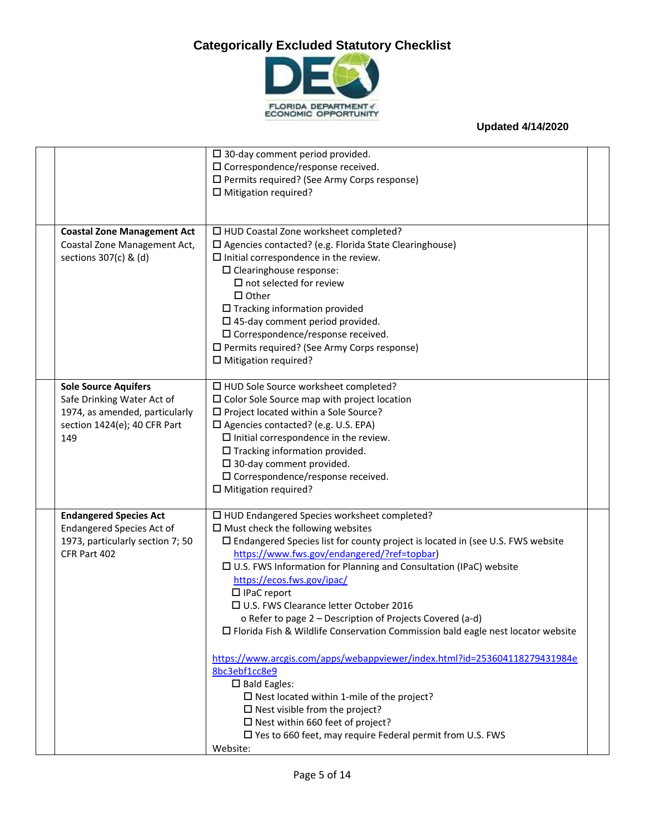

|                                    | $\square$ 30-day comment period provided.                                                |  |
|------------------------------------|------------------------------------------------------------------------------------------|--|
|                                    | $\square$ Correspondence/response received.                                              |  |
|                                    | □ Permits required? (See Army Corps response)                                            |  |
|                                    | $\square$ Mitigation required?                                                           |  |
|                                    |                                                                                          |  |
|                                    |                                                                                          |  |
| <b>Coastal Zone Management Act</b> | □ HUD Coastal Zone worksheet completed?                                                  |  |
| Coastal Zone Management Act,       | $\square$ Agencies contacted? (e.g. Florida State Clearinghouse)                         |  |
| sections 307(c) & (d)              | $\square$ Initial correspondence in the review.                                          |  |
|                                    | $\square$ Clearinghouse response:                                                        |  |
|                                    | $\square$ not selected for review                                                        |  |
|                                    | $\Box$ Other                                                                             |  |
|                                    | $\Box$ Tracking information provided                                                     |  |
|                                    | $\square$ 45-day comment period provided.                                                |  |
|                                    | $\square$ Correspondence/response received.                                              |  |
|                                    | □ Permits required? (See Army Corps response)                                            |  |
|                                    | $\square$ Mitigation required?                                                           |  |
|                                    |                                                                                          |  |
| <b>Sole Source Aquifers</b>        | □ HUD Sole Source worksheet completed?                                                   |  |
| Safe Drinking Water Act of         | $\square$ Color Sole Source map with project location                                    |  |
| 1974, as amended, particularly     | $\square$ Project located within a Sole Source?                                          |  |
| section 1424(e); 40 CFR Part       | □ Agencies contacted? (e.g. U.S. EPA)                                                    |  |
| 149                                | $\square$ Initial correspondence in the review.                                          |  |
|                                    | $\square$ Tracking information provided.                                                 |  |
|                                    | $\square$ 30-day comment provided.                                                       |  |
|                                    | $\square$ Correspondence/response received.                                              |  |
|                                    | $\square$ Mitigation required?                                                           |  |
|                                    |                                                                                          |  |
| <b>Endangered Species Act</b>      | □ HUD Endangered Species worksheet completed?                                            |  |
| <b>Endangered Species Act of</b>   | $\square$ Must check the following websites                                              |  |
| 1973, particularly section 7; 50   | $\square$ Endangered Species list for county project is located in (see U.S. FWS website |  |
| CFR Part 402                       | https://www.fws.gov/endangered/?ref=topbar)                                              |  |
|                                    | $\square$ U.S. FWS Information for Planning and Consultation (IPaC) website              |  |
|                                    | https://ecos.fws.gov/ipac/                                                               |  |
|                                    | $\Box$ IPaC report                                                                       |  |
|                                    | □ U.S. FWS Clearance letter October 2016                                                 |  |
|                                    | o Refer to page 2 – Description of Projects Covered (a-d)                                |  |
|                                    | □ Florida Fish & Wildlife Conservation Commission bald eagle nest locator website        |  |
|                                    |                                                                                          |  |
|                                    | https://www.arcgis.com/apps/webappviewer/index.html?id=253604118279431984e               |  |
|                                    | 8bc3ebf1cc8e9                                                                            |  |
|                                    | $\square$ Bald Eagles:                                                                   |  |
|                                    | $\square$ Nest located within 1-mile of the project?                                     |  |
|                                    | $\square$ Nest visible from the project?                                                 |  |
|                                    | $\square$ Nest within 660 feet of project?                                               |  |
|                                    | $\square$ Yes to 660 feet, may require Federal permit from U.S. FWS                      |  |
|                                    | Website:                                                                                 |  |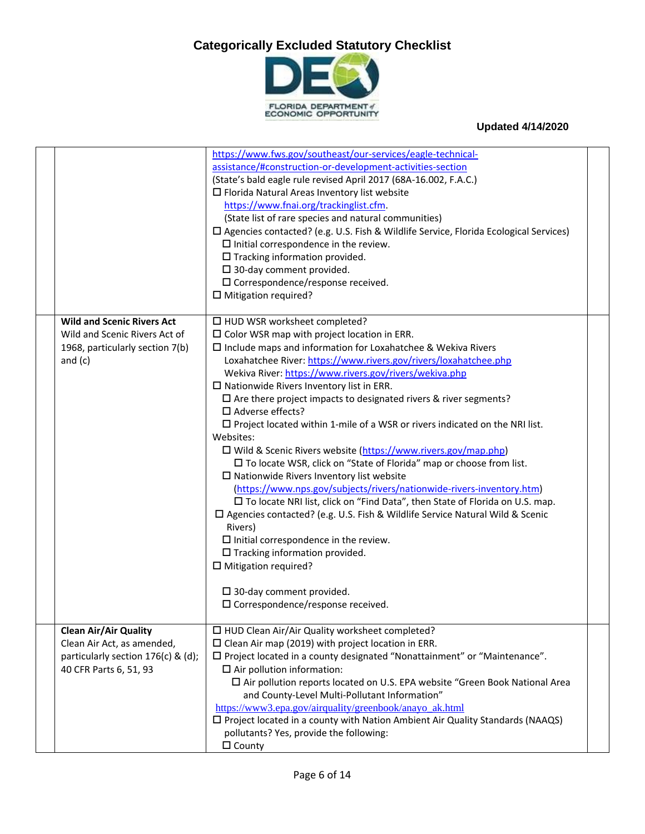

|                                                                                                                            | https://www.fws.gov/southeast/our-services/eagle-technical-<br>assistance/#construction-or-development-activities-section<br>(State's bald eagle rule revised April 2017 (68A-16.002, F.A.C.)<br>$\Box$ Florida Natural Areas Inventory list website<br>https://www.fnai.org/trackinglist.cfm.<br>(State list of rare species and natural communities)<br>□ Agencies contacted? (e.g. U.S. Fish & Wildlife Service, Florida Ecological Services)<br>$\Box$ Initial correspondence in the review.<br>$\Box$ Tracking information provided.<br>$\square$ 30-day comment provided.<br>$\square$ Correspondence/response received.<br>$\square$ Mitigation required?                                                                                                                                                                                                                                                                                                                                                                                                                                                                                                                                                                                  |  |
|----------------------------------------------------------------------------------------------------------------------------|---------------------------------------------------------------------------------------------------------------------------------------------------------------------------------------------------------------------------------------------------------------------------------------------------------------------------------------------------------------------------------------------------------------------------------------------------------------------------------------------------------------------------------------------------------------------------------------------------------------------------------------------------------------------------------------------------------------------------------------------------------------------------------------------------------------------------------------------------------------------------------------------------------------------------------------------------------------------------------------------------------------------------------------------------------------------------------------------------------------------------------------------------------------------------------------------------------------------------------------------------|--|
| <b>Wild and Scenic Rivers Act</b><br>Wild and Scenic Rivers Act of<br>1968, particularly section 7(b)<br>and $(c)$         | □ HUD WSR worksheet completed?<br>$\square$ Color WSR map with project location in ERR.<br>$\square$ Include maps and information for Loxahatchee & Wekiva Rivers<br>Loxahatchee River: https://www.rivers.gov/rivers/loxahatchee.php<br>Wekiva River: https://www.rivers.gov/rivers/wekiva.php<br>$\square$ Nationwide Rivers Inventory list in ERR.<br>$\square$ Are there project impacts to designated rivers & river segments?<br>$\Box$ Adverse effects?<br>$\square$ Project located within 1-mile of a WSR or rivers indicated on the NRI list.<br>Websites:<br>□ Wild & Scenic Rivers website (https://www.rivers.gov/map.php)<br>□ To locate WSR, click on "State of Florida" map or choose from list.<br>$\square$ Nationwide Rivers Inventory list website<br>(https://www.nps.gov/subjects/rivers/nationwide-rivers-inventory.htm)<br>□ To locate NRI list, click on "Find Data", then State of Florida on U.S. map.<br>□ Agencies contacted? (e.g. U.S. Fish & Wildlife Service Natural Wild & Scenic<br>Rivers)<br>$\square$ Initial correspondence in the review.<br>$\Box$ Tracking information provided.<br>$\square$ Mitigation required?<br>$\square$ 30-day comment provided.<br>$\square$ Correspondence/response received. |  |
| <b>Clean Air/Air Quality</b><br>Clean Air Act, as amended,<br>particularly section 176(c) & (d);<br>40 CFR Parts 6, 51, 93 | □ HUD Clean Air/Air Quality worksheet completed?<br>$\square$ Clean Air map (2019) with project location in ERR.<br>□ Project located in a county designated "Nonattainment" or "Maintenance".<br>$\Box$ Air pollution information:<br>□ Air pollution reports located on U.S. EPA website "Green Book National Area<br>and County-Level Multi-Pollutant Information"<br>https://www3.epa.gov/airquality/greenbook/anayo_ak.html<br>$\square$ Project located in a county with Nation Ambient Air Quality Standards (NAAQS)<br>pollutants? Yes, provide the following:<br>$\Box$ County                                                                                                                                                                                                                                                                                                                                                                                                                                                                                                                                                                                                                                                           |  |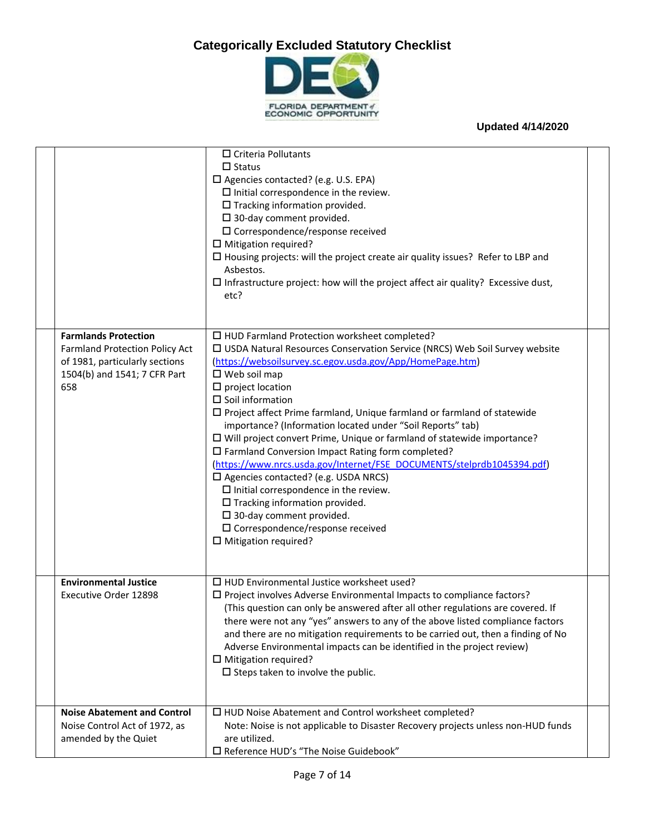

|                                                                                                                                        | $\Box$ Criteria Pollutants<br>$\Box$ Status<br>$\square$ Agencies contacted? (e.g. U.S. EPA)<br>$\square$ Initial correspondence in the review.<br>$\square$ Tracking information provided.<br>$\square$ 30-day comment provided.<br>$\square$ Correspondence/response received<br>$\square$ Mitigation required?<br>$\square$ Housing projects: will the project create air quality issues? Refer to LBP and<br>Asbestos.<br>$\square$ Infrastructure project: how will the project affect air quality? Excessive dust,<br>etc?                                                                                                                                                                                                                                                                                                                                                                                       |  |
|----------------------------------------------------------------------------------------------------------------------------------------|------------------------------------------------------------------------------------------------------------------------------------------------------------------------------------------------------------------------------------------------------------------------------------------------------------------------------------------------------------------------------------------------------------------------------------------------------------------------------------------------------------------------------------------------------------------------------------------------------------------------------------------------------------------------------------------------------------------------------------------------------------------------------------------------------------------------------------------------------------------------------------------------------------------------|--|
| <b>Farmlands Protection</b><br>Farmland Protection Policy Act<br>of 1981, particularly sections<br>1504(b) and 1541; 7 CFR Part<br>658 | □ HUD Farmland Protection worksheet completed?<br>□ USDA Natural Resources Conservation Service (NRCS) Web Soil Survey website<br>(https://websoilsurvey.sc.egov.usda.gov/App/HomePage.htm)<br>$\square$ Web soil map<br>$\square$ project location<br>$\square$ Soil information<br>$\square$ Project affect Prime farmland, Unique farmland or farmland of statewide<br>importance? (Information located under "Soil Reports" tab)<br>$\square$ Will project convert Prime, Unique or farmland of statewide importance?<br>□ Farmland Conversion Impact Rating form completed?<br>(https://www.nrcs.usda.gov/Internet/FSE_DOCUMENTS/stelprdb1045394.pdf)<br>□ Agencies contacted? (e.g. USDA NRCS)<br>$\square$ Initial correspondence in the review.<br>$\square$ Tracking information provided.<br>$\square$ 30-day comment provided.<br>$\square$ Correspondence/response received<br>$\Box$ Mitigation required? |  |
| <b>Environmental Justice</b><br>Executive Order 12898                                                                                  | $\square$ HUD Environmental Justice worksheet used?<br>$\square$ Project involves Adverse Environmental Impacts to compliance factors?<br>(This question can only be answered after all other regulations are covered. If<br>there were not any "yes" answers to any of the above listed compliance factors<br>and there are no mitigation requirements to be carried out, then a finding of No<br>Adverse Environmental impacts can be identified in the project review)<br>$\Box$ Mitigation required?<br>$\square$ Steps taken to involve the public.                                                                                                                                                                                                                                                                                                                                                               |  |
| <b>Noise Abatement and Control</b><br>Noise Control Act of 1972, as<br>amended by the Quiet                                            | $\Box$ HUD Noise Abatement and Control worksheet completed?<br>Note: Noise is not applicable to Disaster Recovery projects unless non-HUD funds<br>are utilized.<br>□ Reference HUD's "The Noise Guidebook"                                                                                                                                                                                                                                                                                                                                                                                                                                                                                                                                                                                                                                                                                                            |  |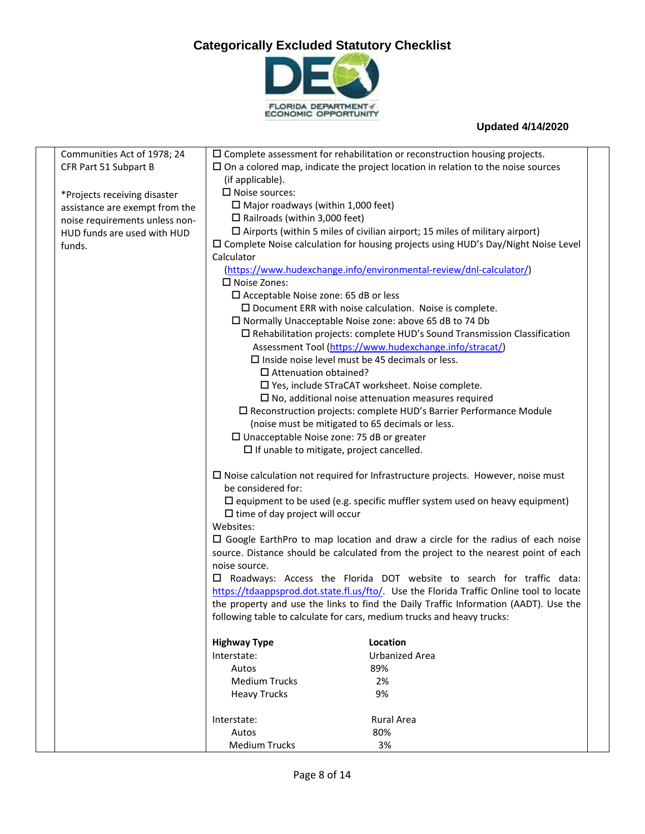

| Communities Act of 1978; 24    |                                                                                                         | $\square$ Complete assessment for rehabilitation or reconstruction housing projects.       |
|--------------------------------|---------------------------------------------------------------------------------------------------------|--------------------------------------------------------------------------------------------|
| CFR Part 51 Subpart B          |                                                                                                         | $\square$ On a colored map, indicate the project location in relation to the noise sources |
|                                | (if applicable).                                                                                        |                                                                                            |
| *Projects receiving disaster   | $\square$ Noise sources:                                                                                |                                                                                            |
| assistance are exempt from the | $\Box$ Major roadways (within 1,000 feet)                                                               |                                                                                            |
| noise requirements unless non- | $\Box$ Railroads (within 3,000 feet)                                                                    |                                                                                            |
| HUD funds are used with HUD    |                                                                                                         | $\square$ Airports (within 5 miles of civilian airport; 15 miles of military airport)      |
| funds.                         |                                                                                                         | □ Complete Noise calculation for housing projects using HUD's Day/Night Noise Level        |
|                                | Calculator                                                                                              |                                                                                            |
|                                |                                                                                                         | (https://www.hudexchange.info/environmental-review/dnl-calculator/)                        |
|                                | □ Noise Zones:                                                                                          |                                                                                            |
|                                | $\square$ Acceptable Noise zone: 65 dB or less                                                          |                                                                                            |
|                                |                                                                                                         | $\square$ Document ERR with noise calculation. Noise is complete.                          |
|                                |                                                                                                         | $\Box$ Normally Unacceptable Noise zone: above 65 dB to 74 Db                              |
|                                |                                                                                                         | $\square$ Rehabilitation projects: complete HUD's Sound Transmission Classification        |
|                                |                                                                                                         | Assessment Tool (https://www.hudexchange.info/stracat/)                                    |
|                                |                                                                                                         | $\square$ Inside noise level must be 45 decimals or less.                                  |
|                                | $\Box$ Attenuation obtained?                                                                            |                                                                                            |
|                                |                                                                                                         | □ Yes, include STraCAT worksheet. Noise complete.                                          |
|                                |                                                                                                         | $\square$ No, additional noise attenuation measures required                               |
|                                |                                                                                                         | □ Reconstruction projects: complete HUD's Barrier Performance Module                       |
|                                |                                                                                                         |                                                                                            |
|                                | (noise must be mitigated to 65 decimals or less.<br>$\square$ Unacceptable Noise zone: 75 dB or greater |                                                                                            |
|                                | $\Box$ If unable to mitigate, project cancelled.                                                        |                                                                                            |
|                                |                                                                                                         |                                                                                            |
|                                |                                                                                                         | $\square$ Noise calculation not required for Infrastructure projects. However, noise must  |
|                                | be considered for:                                                                                      |                                                                                            |
|                                |                                                                                                         | $\square$ equipment to be used (e.g. specific muffler system used on heavy equipment)      |
|                                | $\Box$ time of day project will occur                                                                   |                                                                                            |
|                                | Websites:                                                                                               |                                                                                            |
|                                |                                                                                                         | $\Box$ Google EarthPro to map location and draw a circle for the radius of each noise      |
|                                |                                                                                                         | source. Distance should be calculated from the project to the nearest point of each        |
|                                | noise source.                                                                                           |                                                                                            |
|                                | ப                                                                                                       | Roadways: Access the Florida DOT website to search for traffic data:                       |
|                                |                                                                                                         | https://tdaappsprod.dot.state.fl.us/fto/. Use the Florida Traffic Online tool to locate    |
|                                |                                                                                                         | the property and use the links to find the Daily Traffic Information (AADT). Use the       |
|                                |                                                                                                         | following table to calculate for cars, medium trucks and heavy trucks:                     |
|                                |                                                                                                         |                                                                                            |
|                                | <b>Highway Type</b>                                                                                     | Location                                                                                   |
|                                | Interstate:                                                                                             | <b>Urbanized Area</b>                                                                      |
|                                | Autos                                                                                                   | 89%                                                                                        |
|                                | <b>Medium Trucks</b>                                                                                    | 2%                                                                                         |
|                                | <b>Heavy Trucks</b>                                                                                     | 9%                                                                                         |
|                                |                                                                                                         |                                                                                            |
|                                | Interstate:                                                                                             | <b>Rural Area</b>                                                                          |
|                                | Autos                                                                                                   | 80%                                                                                        |
|                                | <b>Medium Trucks</b>                                                                                    | 3%                                                                                         |
|                                |                                                                                                         |                                                                                            |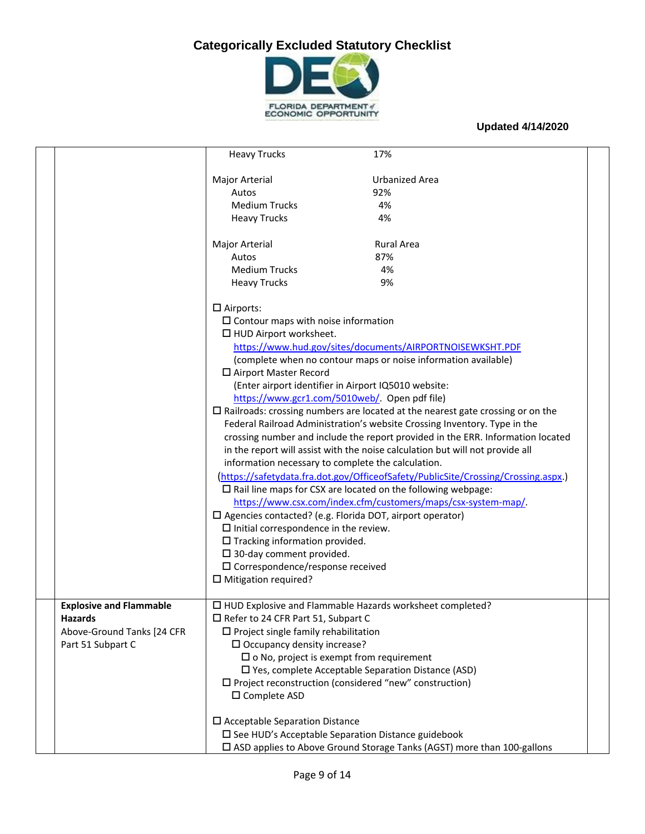

|                                | <b>Heavy Trucks</b>                                                | 17%                                                                                      |  |
|--------------------------------|--------------------------------------------------------------------|------------------------------------------------------------------------------------------|--|
|                                | Major Arterial                                                     | <b>Urbanized Area</b>                                                                    |  |
|                                | Autos                                                              | 92%                                                                                      |  |
|                                | <b>Medium Trucks</b>                                               | 4%                                                                                       |  |
|                                | <b>Heavy Trucks</b>                                                | 4%                                                                                       |  |
|                                |                                                                    |                                                                                          |  |
|                                | <b>Major Arterial</b>                                              | <b>Rural Area</b>                                                                        |  |
|                                | Autos                                                              | 87%                                                                                      |  |
|                                | <b>Medium Trucks</b>                                               | 4%                                                                                       |  |
|                                | <b>Heavy Trucks</b>                                                | 9%                                                                                       |  |
|                                | $\Box$ Airports:                                                   |                                                                                          |  |
|                                | $\square$ Contour maps with noise information                      |                                                                                          |  |
|                                | $\Box$ HUD Airport worksheet.                                      |                                                                                          |  |
|                                |                                                                    | https://www.hud.gov/sites/documents/AIRPORTNOISEWKSHT.PDF                                |  |
|                                |                                                                    | (complete when no contour maps or noise information available)                           |  |
|                                | □ Airport Master Record                                            |                                                                                          |  |
|                                | (Enter airport identifier in Airport IQ5010 website:               |                                                                                          |  |
|                                | https://www.gcr1.com/5010web/ Open pdf file)                       |                                                                                          |  |
|                                |                                                                    | $\square$ Railroads: crossing numbers are located at the nearest gate crossing or on the |  |
|                                |                                                                    | Federal Railroad Administration's website Crossing Inventory. Type in the                |  |
|                                |                                                                    | crossing number and include the report provided in the ERR. Information located          |  |
|                                |                                                                    | in the report will assist with the noise calculation but will not provide all            |  |
|                                | information necessary to complete the calculation.                 |                                                                                          |  |
|                                |                                                                    | (https://safetydata.fra.dot.gov/OfficeofSafety/PublicSite/Crossing/Crossing.aspx.)       |  |
|                                |                                                                    | $\square$ Rail line maps for CSX are located on the following webpage:                   |  |
|                                |                                                                    | https://www.csx.com/index.cfm/customers/maps/csx-system-map/.                            |  |
|                                | $\square$ Agencies contacted? (e.g. Florida DOT, airport operator) |                                                                                          |  |
|                                | $\square$ Initial correspondence in the review.                    |                                                                                          |  |
|                                | $\square$ Tracking information provided.                           |                                                                                          |  |
|                                | $\square$ 30-day comment provided.                                 |                                                                                          |  |
|                                | $\square$ Correspondence/response received                         |                                                                                          |  |
|                                | $\square$ Mitigation required?                                     |                                                                                          |  |
| <b>Explosive and Flammable</b> | $\Box$ HUD Explosive and Flammable Hazards worksheet completed?    |                                                                                          |  |
| <b>Hazards</b>                 | $\Box$ Refer to 24 CFR Part 51, Subpart C                          |                                                                                          |  |
| Above-Ground Tanks [24 CFR     | $\Box$ Project single family rehabilitation                        |                                                                                          |  |
| Part 51 Subpart C              | $\Box$ Occupancy density increase?                                 |                                                                                          |  |
|                                | $\square$ o No, project is exempt from requirement                 |                                                                                          |  |
|                                |                                                                    | □ Yes, complete Acceptable Separation Distance (ASD)                                     |  |
|                                | $\Box$ Project reconstruction (considered "new" construction)      |                                                                                          |  |
|                                | □ Complete ASD                                                     |                                                                                          |  |
|                                | $\square$ Acceptable Separation Distance                           |                                                                                          |  |
|                                | □ See HUD's Acceptable Separation Distance guidebook               |                                                                                          |  |
|                                |                                                                    | □ ASD applies to Above Ground Storage Tanks (AGST) more than 100-gallons                 |  |
|                                |                                                                    |                                                                                          |  |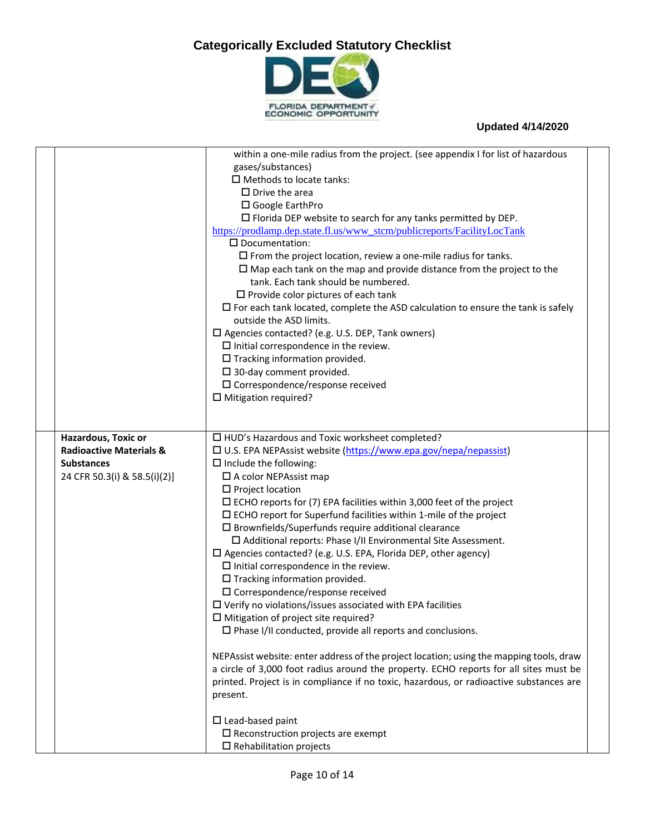

|                                    | within a one-mile radius from the project. (see appendix I for list of hazardous        |  |
|------------------------------------|-----------------------------------------------------------------------------------------|--|
|                                    | gases/substances)                                                                       |  |
|                                    | $\Box$ Methods to locate tanks:                                                         |  |
|                                    | $\square$ Drive the area                                                                |  |
|                                    | □ Google EarthPro                                                                       |  |
|                                    | $\Box$ Florida DEP website to search for any tanks permitted by DEP.                    |  |
|                                    | https://prodlamp.dep.state.fl.us/www_stcm/publicreports/FacilityLocTank                 |  |
|                                    | $\square$ Documentation:                                                                |  |
|                                    | $\square$ From the project location, review a one-mile radius for tanks.                |  |
|                                    | $\square$ Map each tank on the map and provide distance from the project to the         |  |
|                                    | tank. Each tank should be numbered.                                                     |  |
|                                    | $\square$ Provide color pictures of each tank                                           |  |
|                                    | $\Box$ For each tank located, complete the ASD calculation to ensure the tank is safely |  |
|                                    | outside the ASD limits.                                                                 |  |
|                                    | □ Agencies contacted? (e.g. U.S. DEP, Tank owners)                                      |  |
|                                    | $\square$ Initial correspondence in the review.                                         |  |
|                                    | $\square$ Tracking information provided.                                                |  |
|                                    | $\square$ 30-day comment provided.                                                      |  |
|                                    | $\square$ Correspondence/response received                                              |  |
|                                    | $\square$ Mitigation required?                                                          |  |
|                                    |                                                                                         |  |
|                                    |                                                                                         |  |
| Hazardous, Toxic or                | □ HUD's Hazardous and Toxic worksheet completed?                                        |  |
| <b>Radioactive Materials &amp;</b> | □ U.S. EPA NEPAssist website (https://www.epa.gov/nepa/nepassist)                       |  |
| <b>Substances</b>                  | $\Box$ Include the following:                                                           |  |
| 24 CFR 50.3(i) & 58.5(i)(2)]       | □ A color NEPAssist map                                                                 |  |
|                                    | $\Box$ Project location                                                                 |  |
|                                    | $\Box$ ECHO reports for (7) EPA facilities within 3,000 feet of the project             |  |
|                                    | $\square$ ECHO report for Superfund facilities within 1-mile of the project             |  |
|                                    | $\square$ Brownfields/Superfunds require additional clearance                           |  |
|                                    | $\square$ Additional reports: Phase I/II Environmental Site Assessment.                 |  |
|                                    | $\square$ Agencies contacted? (e.g. U.S. EPA, Florida DEP, other agency)                |  |
|                                    | $\square$ Initial correspondence in the review.                                         |  |
|                                    | $\square$ Tracking information provided.                                                |  |
|                                    | $\square$ Correspondence/response received                                              |  |
|                                    | $\square$ Verify no violations/issues associated with EPA facilities                    |  |
|                                    | $\square$ Mitigation of project site required?                                          |  |
|                                    | $\Box$ Phase I/II conducted, provide all reports and conclusions.                       |  |
|                                    |                                                                                         |  |
|                                    | NEPAssist website: enter address of the project location; using the mapping tools, draw |  |
|                                    | a circle of 3,000 foot radius around the property. ECHO reports for all sites must be   |  |
|                                    | printed. Project is in compliance if no toxic, hazardous, or radioactive substances are |  |
|                                    | present.                                                                                |  |
|                                    |                                                                                         |  |
|                                    | $\square$ Lead-based paint                                                              |  |
|                                    | $\square$ Reconstruction projects are exempt                                            |  |
|                                    | $\square$ Rehabilitation projects                                                       |  |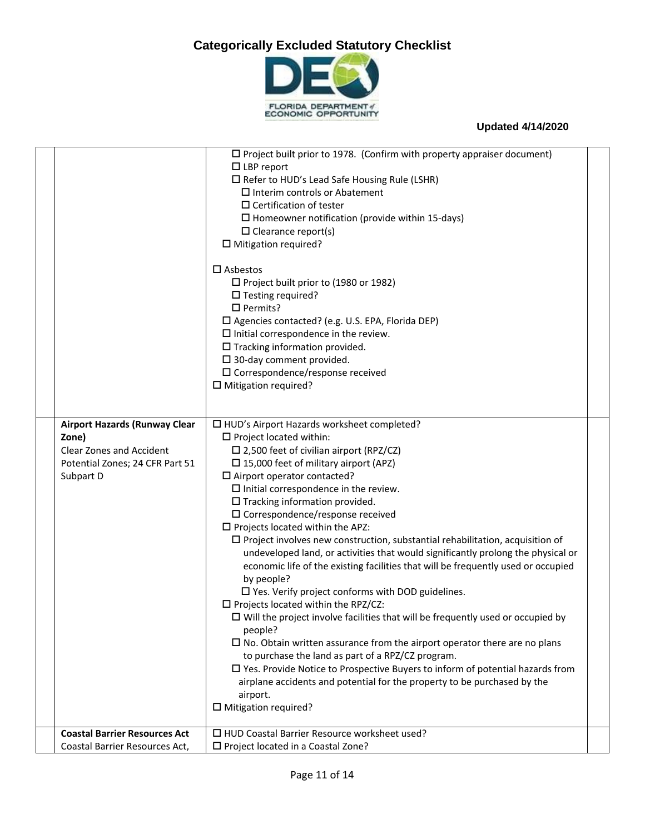

|                                      | $\square$ Project built prior to 1978. (Confirm with property appraiser document)                                                    |  |
|--------------------------------------|--------------------------------------------------------------------------------------------------------------------------------------|--|
|                                      | $\Box$ LBP report                                                                                                                    |  |
|                                      | $\Box$ Refer to HUD's Lead Safe Housing Rule (LSHR)                                                                                  |  |
|                                      | $\Box$ Interim controls or Abatement                                                                                                 |  |
|                                      | $\square$ Certification of tester                                                                                                    |  |
|                                      | $\square$ Homeowner notification (provide within 15-days)                                                                            |  |
|                                      | $\Box$ Clearance report(s)                                                                                                           |  |
|                                      | $\Box$ Mitigation required?                                                                                                          |  |
|                                      | $\square$ Asbestos                                                                                                                   |  |
|                                      | $\Box$ Project built prior to (1980 or 1982)                                                                                         |  |
|                                      | $\Box$ Testing required?                                                                                                             |  |
|                                      | $\Box$ Permits?                                                                                                                      |  |
|                                      | □ Agencies contacted? (e.g. U.S. EPA, Florida DEP)                                                                                   |  |
|                                      | $\square$ Initial correspondence in the review.                                                                                      |  |
|                                      | $\Box$ Tracking information provided.                                                                                                |  |
|                                      | $\square$ 30-day comment provided.                                                                                                   |  |
|                                      | $\square$ Correspondence/response received                                                                                           |  |
|                                      | $\square$ Mitigation required?                                                                                                       |  |
|                                      |                                                                                                                                      |  |
|                                      |                                                                                                                                      |  |
| <b>Airport Hazards (Runway Clear</b> | □ HUD's Airport Hazards worksheet completed?                                                                                         |  |
| Zone)                                | $\Box$ Project located within:                                                                                                       |  |
| <b>Clear Zones and Accident</b>      | $\square$ 2,500 feet of civilian airport (RPZ/CZ)                                                                                    |  |
| Potential Zones; 24 CFR Part 51      | $\Box$ 15,000 feet of military airport (APZ)                                                                                         |  |
| Subpart D                            | $\Box$ Airport operator contacted?                                                                                                   |  |
|                                      | $\square$ Initial correspondence in the review.                                                                                      |  |
|                                      | $\square$ Tracking information provided.                                                                                             |  |
|                                      | $\square$ Correspondence/response received                                                                                           |  |
|                                      | $\square$ Projects located within the APZ:                                                                                           |  |
|                                      | $\square$ Project involves new construction, substantial rehabilitation, acquisition of                                              |  |
|                                      | undeveloped land, or activities that would significantly prolong the physical or                                                     |  |
|                                      | economic life of the existing facilities that will be frequently used or occupied                                                    |  |
|                                      | by people?                                                                                                                           |  |
|                                      | $\square$ Yes. Verify project conforms with DOD guidelines.                                                                          |  |
|                                      | $\Box$ Projects located within the RPZ/CZ:<br>$\Box$ Will the project involve facilities that will be frequently used or occupied by |  |
|                                      | people?                                                                                                                              |  |
|                                      | $\square$ No. Obtain written assurance from the airport operator there are no plans                                                  |  |
|                                      | to purchase the land as part of a RPZ/CZ program.                                                                                    |  |
|                                      | $\square$ Yes. Provide Notice to Prospective Buyers to inform of potential hazards from                                              |  |
|                                      | airplane accidents and potential for the property to be purchased by the                                                             |  |
|                                      | airport.                                                                                                                             |  |
|                                      | $\square$ Mitigation required?                                                                                                       |  |
|                                      |                                                                                                                                      |  |
| <b>Coastal Barrier Resources Act</b> | □ HUD Coastal Barrier Resource worksheet used?                                                                                       |  |
| Coastal Barrier Resources Act,       | □ Project located in a Coastal Zone?                                                                                                 |  |
|                                      |                                                                                                                                      |  |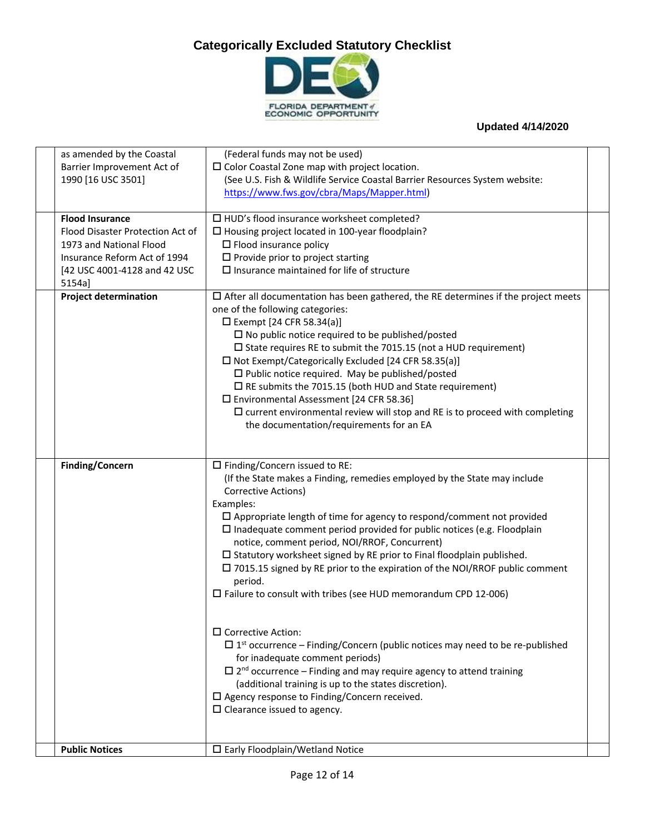

| as amended by the Coastal<br>Barrier Improvement Act of<br>1990 [16 USC 3501]                                         | (Federal funds may not be used)<br>$\square$ Color Coastal Zone map with project location.<br>(See U.S. Fish & Wildlife Service Coastal Barrier Resources System website:<br>https://www.fws.gov/cbra/Maps/Mapper.html)                                                                                                                                                                                                                                                                                                                                                                                                                                                                |  |
|-----------------------------------------------------------------------------------------------------------------------|----------------------------------------------------------------------------------------------------------------------------------------------------------------------------------------------------------------------------------------------------------------------------------------------------------------------------------------------------------------------------------------------------------------------------------------------------------------------------------------------------------------------------------------------------------------------------------------------------------------------------------------------------------------------------------------|--|
| <b>Flood Insurance</b><br>Flood Disaster Protection Act of<br>1973 and National Flood<br>Insurance Reform Act of 1994 | $\Box$ HUD's flood insurance worksheet completed?<br>□ Housing project located in 100-year floodplain?<br>$\square$ Flood insurance policy<br>$\square$ Provide prior to project starting                                                                                                                                                                                                                                                                                                                                                                                                                                                                                              |  |
| [42 USC 4001-4128 and 42 USC<br>5154a]                                                                                | $\square$ Insurance maintained for life of structure                                                                                                                                                                                                                                                                                                                                                                                                                                                                                                                                                                                                                                   |  |
| <b>Project determination</b>                                                                                          | $\Box$ After all documentation has been gathered, the RE determines if the project meets<br>one of the following categories:<br>$\square$ Exempt [24 CFR 58.34(a)]<br>$\Box$ No public notice required to be published/posted<br>$\square$ State requires RE to submit the 7015.15 (not a HUD requirement)<br>$\Box$ Not Exempt/Categorically Excluded [24 CFR 58.35(a)]<br>$\Box$ Public notice required. May be published/posted<br>$\Box$ RE submits the 7015.15 (both HUD and State requirement)<br>□ Environmental Assessment [24 CFR 58.36]<br>$\square$ current environmental review will stop and RE is to proceed with completing<br>the documentation/requirements for an EA |  |
| Finding/Concern                                                                                                       | $\square$ Finding/Concern issued to RE:<br>(If the State makes a Finding, remedies employed by the State may include<br>Corrective Actions)<br>Examples:<br>$\Box$ Appropriate length of time for agency to respond/comment not provided<br>$\square$ Inadequate comment period provided for public notices (e.g. Floodplain<br>notice, comment period, NOI/RROF, Concurrent)<br>$\square$ Statutory worksheet signed by RE prior to Final floodplain published.<br>$\square$ 7015.15 signed by RE prior to the expiration of the NOI/RROF public comment<br>period.<br>$\square$ Failure to consult with tribes (see HUD memorandum CPD 12-006)                                       |  |
|                                                                                                                       | $\square$ Corrective Action:<br>$\Box$ 1 <sup>st</sup> occurrence – Finding/Concern (public notices may need to be re-published<br>for inadequate comment periods)<br>$\Box$ 2 <sup>nd</sup> occurrence – Finding and may require agency to attend training<br>(additional training is up to the states discretion).<br>$\square$ Agency response to Finding/Concern received.<br>$\Box$ Clearance issued to agency.                                                                                                                                                                                                                                                                   |  |
| <b>Public Notices</b>                                                                                                 | $\square$ Early Floodplain/Wetland Notice                                                                                                                                                                                                                                                                                                                                                                                                                                                                                                                                                                                                                                              |  |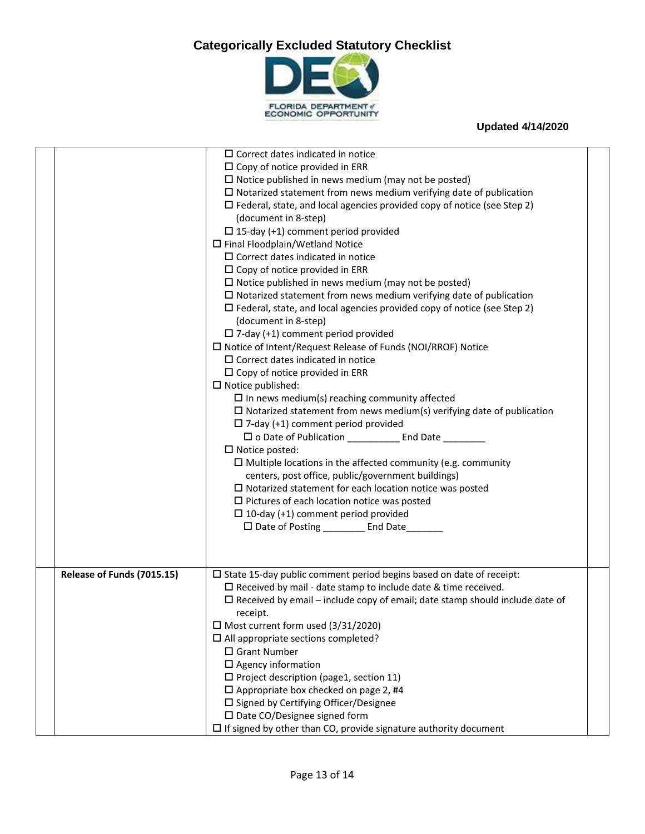

|                            | $\Box$ Correct dates indicated in notice                                            |  |
|----------------------------|-------------------------------------------------------------------------------------|--|
|                            | $\square$ Copy of notice provided in ERR                                            |  |
|                            | $\Box$ Notice published in news medium (may not be posted)                          |  |
|                            | $\Box$ Notarized statement from news medium verifying date of publication           |  |
|                            | $\square$ Federal, state, and local agencies provided copy of notice (see Step 2)   |  |
|                            | (document in 8-step)                                                                |  |
|                            | $\Box$ 15-day (+1) comment period provided                                          |  |
|                            | $\Box$ Final Floodplain/Wetland Notice                                              |  |
|                            | $\Box$ Correct dates indicated in notice                                            |  |
|                            | $\Box$ Copy of notice provided in ERR                                               |  |
|                            | $\Box$ Notice published in news medium (may not be posted)                          |  |
|                            | $\square$ Notarized statement from news medium verifying date of publication        |  |
|                            | $\square$ Federal, state, and local agencies provided copy of notice (see Step 2)   |  |
|                            | (document in 8-step)                                                                |  |
|                            | $\Box$ 7-day (+1) comment period provided                                           |  |
|                            | $\Box$ Notice of Intent/Request Release of Funds (NOI/RROF) Notice                  |  |
|                            | $\Box$ Correct dates indicated in notice                                            |  |
|                            | $\square$ Copy of notice provided in ERR                                            |  |
|                            | $\Box$ Notice published:                                                            |  |
|                            | $\square$ In news medium(s) reaching community affected                             |  |
|                            | $\Box$ Notarized statement from news medium(s) verifying date of publication        |  |
|                            | $\Box$ 7-day (+1) comment period provided                                           |  |
|                            | □ o Date of Publication ___________ End Date ________                               |  |
|                            | $\Box$ Notice posted:                                                               |  |
|                            | $\Box$ Multiple locations in the affected community (e.g. community                 |  |
|                            | centers, post office, public/government buildings)                                  |  |
|                            | $\square$ Notarized statement for each location notice was posted                   |  |
|                            | $\Box$ Pictures of each location notice was posted                                  |  |
|                            | $\Box$ 10-day (+1) comment period provided                                          |  |
|                            | □ Date of Posting __________ End Date______                                         |  |
|                            |                                                                                     |  |
|                            |                                                                                     |  |
|                            |                                                                                     |  |
| Release of Funds (7015.15) | $\square$ State 15-day public comment period begins based on date of receipt:       |  |
|                            | $\Box$ Received by mail - date stamp to include date & time received.               |  |
|                            | $\Box$ Received by email – include copy of email; date stamp should include date of |  |
|                            | receipt.                                                                            |  |
|                            | $\Box$ Most current form used (3/31/2020)                                           |  |
|                            | $\Box$ All appropriate sections completed?                                          |  |
|                            | □ Grant Number                                                                      |  |
|                            | $\Box$ Agency information                                                           |  |
|                            | $\square$ Project description (page1, section 11)                                   |  |
|                            | $\Box$ Appropriate box checked on page 2, #4                                        |  |
|                            | □ Signed by Certifying Officer/Designee                                             |  |
|                            | $\square$ Date CO/Designee signed form                                              |  |
|                            | $\square$ If signed by other than CO, provide signature authority document          |  |